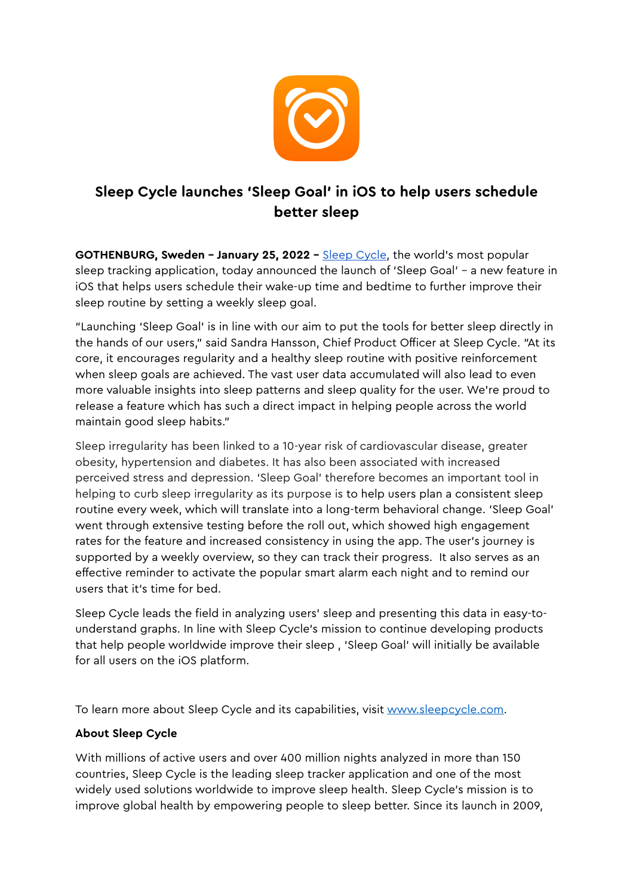

## **Sleep Cycle launches 'Sleep Goal' in iOS to help users schedule better sleep**

**GOTHENBURG, Sweden - January 25, 2022 - [Sleep Cycle](https://www.sleepcycle.com/), the world's most popular** sleep tracking application, today announced the launch of 'Sleep Goal' – a new feature in iOS that helps users schedule their wake-up time and bedtime to further improve their sleep routine by setting a weekly sleep goal.

"Launching 'Sleep Goal' is in line with our aim to put the tools for better sleep directly in the hands of our users," said Sandra Hansson, Chief Product Officer at Sleep Cycle. "At its core, it encourages regularity and a healthy sleep routine with positive reinforcement when sleep goals are achieved. The vast user data accumulated will also lead to even more valuable insights into sleep patterns and sleep quality for the user. We're proud to release a feature which has such a direct impact in helping people across the world maintain good sleep habits."

Sleep irregularity has been linked to a 10-year risk of cardiovascular disease, greater obesity, hypertension and diabetes. It has also been associated with increased perceived stress and depression. 'Sleep Goal' therefore becomes an important tool in helping to curb sleep irregularity as its purpose is to help users plan a consistent sleep routine every week, which will translate into a long-term behavioral change. 'Sleep Goal' went through extensive testing before the roll out, which showed high engagement rates for the feature and increased consistency in using the app. The user's journey is supported by a weekly overview, so they can track their progress. It also serves as an effective reminder to activate the popular smart alarm each night and to remind our users that it's time for bed.

Sleep Cycle leads the field in analyzing users' sleep and presenting this data in easy-tounderstand graphs. In line with Sleep Cycle's mission to continue developing products that help people worldwide improve their sleep , 'Sleep Goal' will initially be available for all users on the iOS platform.

To learn more about Sleep Cycle and its capabilities, visit www.sleepcycle.com.

## **About Sleep Cycle**

With millions of active users and over 400 million nights analyzed in more than 150 countries, Sleep Cycle is the leading sleep tracker application and one of the most widely used solutions worldwide to improve sleep health. Sleep Cycle's mission is to improve global health by empowering people to sleep better. Since its launch in 2009,